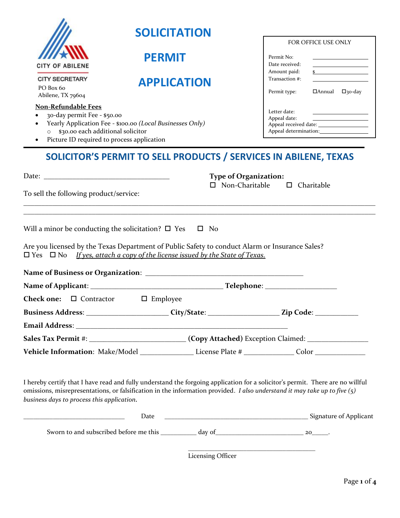|                                                                                                                                                                                                                                                                                                             | <b>SOLICITATION</b> |                                                                  |                                                       | FOR OFFICE USE ONLY                               |
|-------------------------------------------------------------------------------------------------------------------------------------------------------------------------------------------------------------------------------------------------------------------------------------------------------------|---------------------|------------------------------------------------------------------|-------------------------------------------------------|---------------------------------------------------|
| <b>CITY OF ABILENE</b>                                                                                                                                                                                                                                                                                      | <b>PERMIT</b>       |                                                                  | Permit No:<br>Date received:                          |                                                   |
| <b>CITY SECRETARY</b><br>PO Box 60<br>Abilene, TX 79604                                                                                                                                                                                                                                                     |                     | <b>APPLICATION</b>                                               | Amount paid:<br>Transaction #:<br>Permit type:        | $\sim$<br>$\Box$ Annual $\Box$ <sub>30</sub> -day |
| <b>Non-Refundable Fees</b><br>30-day permit Fee - \$50.00<br>Yearly Application Fee - \$100.00 (Local Businesses Only)<br>0 \$30.00 each additional solicitor<br>Picture ID required to process application                                                                                                 |                     |                                                                  | Letter date:<br>Appeal date:                          |                                                   |
| To sell the following product/service:                                                                                                                                                                                                                                                                      |                     | SOLICITOR'S PERMIT TO SELL PRODUCTS / SERVICES IN ABILENE, TEXAS | <b>Type of Organization:</b><br>$\Box$ Non-Charitable | $\Box$ Charitable                                 |
| Are you licensed by the Texas Department of Public Safety to conduct Alarm or Insurance Sales?<br>$\Box$ Yes $\Box$ No If yes, attach a copy of the license issued by the State of Texas.                                                                                                                   |                     |                                                                  |                                                       |                                                   |
|                                                                                                                                                                                                                                                                                                             |                     |                                                                  |                                                       |                                                   |
| <b>Check one:</b> $\Box$ Contractor                                                                                                                                                                                                                                                                         | $\square$ Employee  |                                                                  |                                                       |                                                   |
| Business Address: ___________________________City/State: ________________________Zip Code: ______________                                                                                                                                                                                                   |                     |                                                                  |                                                       |                                                   |
|                                                                                                                                                                                                                                                                                                             |                     |                                                                  |                                                       |                                                   |
| Sales Tax Permit #: __________________________(Copy Attached) Exception Claimed: __________________                                                                                                                                                                                                         |                     |                                                                  |                                                       |                                                   |
| Vehicle Information: Make/Model _____________________License Plate # _______________Color ________________                                                                                                                                                                                                  |                     |                                                                  |                                                       |                                                   |
| I hereby certify that I have read and fully understand the forgoing application for a solicitor's permit. There are no willful<br>omissions, misrepresentations, or falsification in the information provided. I also understand it may take up to five $(5)$<br>business days to process this application. |                     |                                                                  |                                                       |                                                   |
|                                                                                                                                                                                                                                                                                                             |                     |                                                                  |                                                       |                                                   |
|                                                                                                                                                                                                                                                                                                             |                     |                                                                  |                                                       |                                                   |
|                                                                                                                                                                                                                                                                                                             |                     | <b>Licensing Officer</b>                                         |                                                       |                                                   |

Page **1** of **4**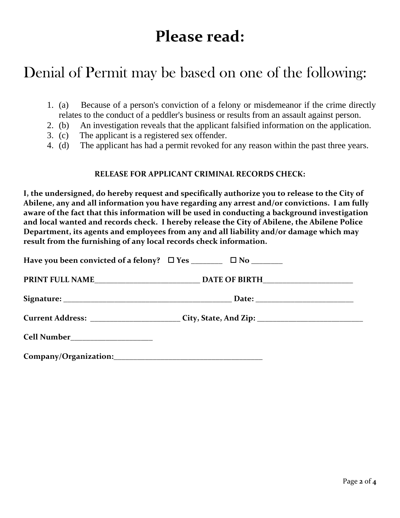# **Please read:**

## Denial of Permit may be based on one of the following:

- 1. (a) Because of a person's conviction of a felony or misdemeanor if the crime directly relates to the conduct of a peddler's business or results from an assault against person.
- 2. (b) An investigation reveals that the applicant falsified information on the application.
- 3. (c) The applicant is a registered sex offender.
- 4. (d) The applicant has had a permit revoked for any reason within the past three years.

### **RELEASE FOR APPLICANT CRIMINAL RECORDS CHECK:**

**I, the undersigned, do hereby request and specifically authorize you to release to the City of Abilene, any and all information you have regarding any arrest and/or convictions. I am fully aware of the fact that this information will be used in conducting a background investigation and local wanted and records check. I hereby release the City of Abilene, the Abilene Police Department, its agents and employees from any and all liability and/or damage which may result from the furnishing of any local records check information.**

|                                             | Current Address: __________________________City, State, And Zip: ___________________________________ |  |
|---------------------------------------------|------------------------------------------------------------------------------------------------------|--|
| <b>Cell Number_________________________</b> |                                                                                                      |  |

**Company/Organization:\_\_\_\_\_\_\_\_\_\_\_\_\_\_\_\_\_\_\_\_\_\_\_\_\_\_\_\_\_\_\_\_\_\_\_\_\_\_**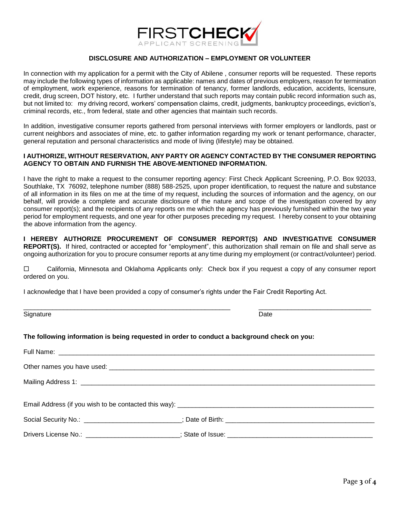

#### **DISCLOSURE AND AUTHORIZATION – EMPLOYMENT OR VOLUNTEER**

In connection with my application for a permit with the City of Abilene , consumer reports will be requested. These reports may include the following types of information as applicable: names and dates of previous employers, reason for termination of employment, work experience, reasons for termination of tenancy, former landlords, education, accidents, licensure, credit, drug screen, DOT history, etc. I further understand that such reports may contain public record information such as, but not limited to: my driving record, workers' compensation claims, credit, judgments, bankruptcy proceedings, eviction's, criminal records, etc., from federal, state and other agencies that maintain such records.

In addition, investigative consumer reports gathered from personal interviews with former employers or landlords, past or current neighbors and associates of mine, etc. to gather information regarding my work or tenant performance, character, general reputation and personal characteristics and mode of living (lifestyle) may be obtained.

#### **I AUTHORIZE, WITHOUT RESERVATION, ANY PARTY OR AGENCY CONTACTED BY THE CONSUMER REPORTING AGENCY TO OBTAIN AND FURNISH THE ABOVE-MENTIONED INFORMATION.**

I have the right to make a request to the consumer reporting agency: First Check Applicant Screening, P.O. Box 92033, Southlake, TX 76092, telephone number (888) 588-2525, upon proper identification, to request the nature and substance of all information in its files on me at the time of my request, including the sources of information and the agency, on our behalf, will provide a complete and accurate disclosure of the nature and scope of the investigation covered by any consumer report(s); and the recipients of any reports on me which the agency has previously furnished within the two year period for employment requests, and one year for other purposes preceding my request. I hereby consent to your obtaining the above information from the agency.

**I HEREBY AUTHORIZE PROCUREMENT OF CONSUMER REPORT(S) AND INVESTIGATIVE CONSUMER REPORT(S).** If hired, contracted or accepted for "employment", this authorization shall remain on file and shall serve as ongoing authorization for you to procure consumer reports at any time during my employment (or contract/volunteer) period.

 California, Minnesota and Oklahoma Applicants only: Check box if you request a copy of any consumer report ordered on you.

I acknowledge that I have been provided a copy of consumer's rights under the Fair Credit Reporting Act.

| Date |
|------|
|      |

\_\_\_\_\_\_\_\_\_\_\_\_\_\_\_\_\_\_\_\_\_\_\_\_\_\_\_\_\_\_\_\_\_\_\_\_\_\_\_\_\_\_\_\_\_\_\_\_\_\_\_\_\_\_\_\_\_ \_\_\_\_\_\_\_\_\_\_\_\_\_\_\_\_\_\_\_\_\_\_\_\_\_\_\_\_\_\_\_

#### **The following information is being requested in order to conduct a background check on you:**